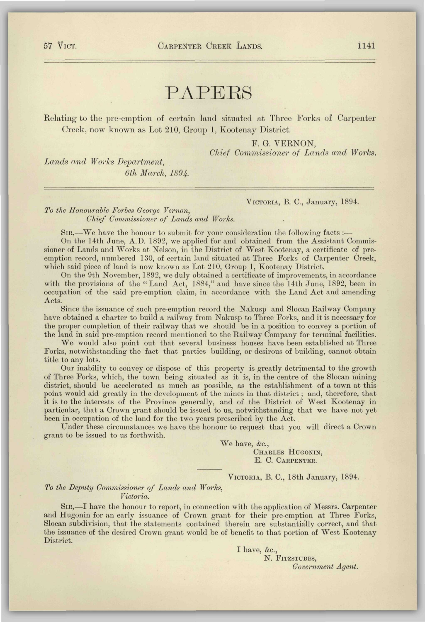# PAPERS

Relating to the pre-emption of certain land situated at Three Forks of Carpenter Creek, now known as Lot 210, Group 1, Kootenay District.

F. G. VERNON,

*Chief Commissioner of Lands and Works.* 

*Lands and Works Department, 6th March, 1S94.* 

VICTORIA, B. C, January, 1894.

## *To the Honourable Forbes George Vernon, Chief Commissioner of Lands and Works.*

 $\text{SIR},\text{---}$  We have the honour to submit for your consideration the following facts :-

On the 14th June, A.D. 1892, we applied for and obtained from the Assistant Commissioner of Lands and Works at Nelson, in the District of West Kootenay, a certificate of preemption record, numbered 130, of certain land situated at Three Forks of Carpenter Creek, which said piece of land is now known as Lot 210, Group 1, Kootenay District.

On the 9th November, 1892, we duly obtained a certificate of improvements, in accordance with the provisions of the "Land Act, 1884," and have since the 14th June, 1892, been in occupation of the said pre-emption claim, in accordance with the Land Act and amending Acts.

Since the issuance of such pre-emption record the Nakusp and Slocan Railway Company have obtained a charter to build a railway from Nakusp to Three Forks, and it is necessary for the proper completion of their railway that we should be in a position to convey a portion of the land in said pre-emption record mentioned to the Railway Company for terminal facilities.

We would also point out that several business houses have been established at Three Forks, notwithstanding the fact that parties building, or desirous of building, cannot obtain title to any lots.

Our inability to convey or dispose of this property is greatly detrimental to the growth of Three Forks, which, the town being situated as it is, in the centre of the Slocan mining district, should be accelerated as much as possible, as the establishment of a town at this point would aid greatly in the development of the mines in that district; and, therefore, that it is to the interests of the Province generally, and of the District of West Kootenay in particular, that a Crown grant should be issued to us, notwithstanding that we have not yet been in occupation of the land for the two years prescribed by the Act.

Under these circumstances we have the honour to request that you will direct a Crown grant to be issued to us forthwith.

> We have, &c., CHARLES HUGONIN, E. C. CARPENTER.

VICTORIA, B. C, 18th January, 1894.

### *To the Deputy Commissioner of Lands and Works, Victoria.*

SIR,—I have the honour to report, in connection with the application of Messrs. Carpenter and Hugonin for an early issuance of Crown grant for their pre-emption at Three Forks, Slocan subdivision, that the statements contained therein are substantially correct, and that the issuance of the desired Crown grant would be of benefit to that portion of West Kootenay District.

I have,  $\&c.,$ 

N. FITZSTUBBS, *Government Agent.*